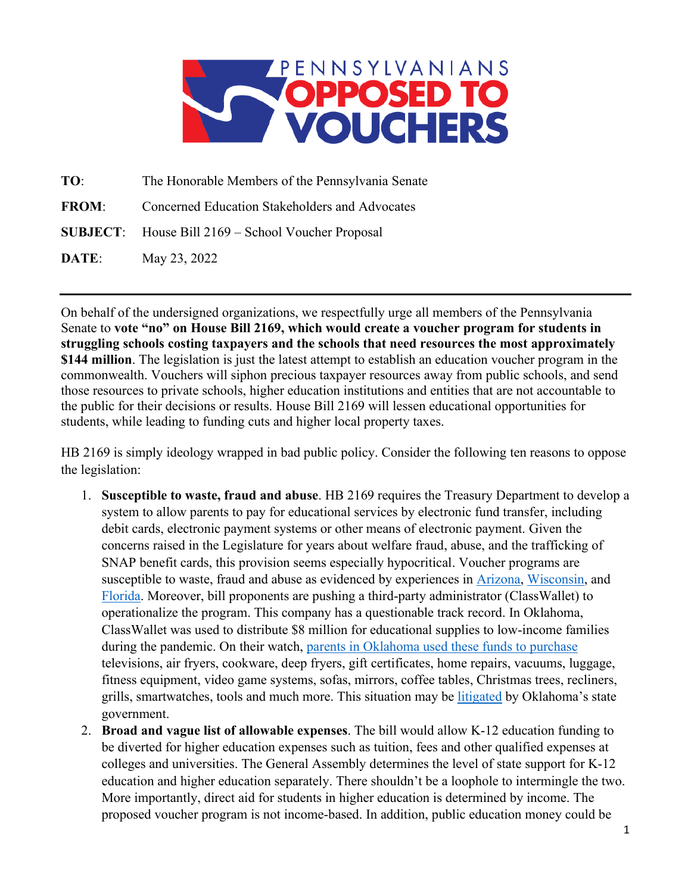

**TO**: The Honorable Members of the Pennsylvania Senate **FROM:** Concerned Education Stakeholders and Advocates **SUBJECT**: House Bill 2169 – School Voucher Proposal **DATE**: May 23, 2022

On behalf of the undersigned organizations, we respectfully urge all members of the Pennsylvania Senate to **vote "no" on House Bill 2169, which would create a voucher program for students in struggling schools costing taxpayers and the schools that need resources the most approximately \$144 million**. The legislation is just the latest attempt to establish an education voucher program in the commonwealth. Vouchers will siphon precious taxpayer resources away from public schools, and send those resources to private schools, higher education institutions and entities that are not accountable to the public for their decisions or results. House Bill 2169 will lessen educational opportunities for students, while leading to funding cuts and higher local property taxes.

HB 2169 is simply ideology wrapped in bad public policy. Consider the following ten reasons to oppose the legislation:

- 1. **Susceptible to waste, fraud and abuse**. HB 2169 requires the Treasury Department to develop a system to allow parents to pay for educational services by electronic fund transfer, including debit cards, electronic payment systems or other means of electronic payment. Given the concerns raised in the Legislature for years about welfare fraud, abuse, and the trafficking of SNAP benefit cards, this provision seems especially hypocritical. Voucher programs are susceptible to waste, fraud and abuse as evidenced by experiences in [Arizona,](https://www.azauditor.gov/sites/default/files/16-107_Report.pdf) [Wisconsin,](https://archive.jsonline.com/news/education/163337666.html/) and [Florida.](http://www.parentadvocates.org/nicecontent/dsp_printable.cfm?articleID=3665) Moreover, bill proponents are pushing a third-party administrator (ClassWallet) to operationalize the program. This company has a questionable track record. In Oklahoma, ClassWallet was used to distribute \$8 million for educational supplies to low-income families during the pandemic. On their watch, [parents in Oklahoma used these funds to purchase](https://www.readfrontier.org/stories/stitt-gave-families-8-million-for-school-supplies-in-the-pandemic-they-bought-christmas-trees-gaming-consoles-and-tvs/) televisions, air fryers, cookware, deep fryers, gift certificates, home repairs, vacuums, luggage, fitness equipment, video game systems, sofas, mirrors, coffee tables, Christmas trees, recliners, grills, smartwatches, tools and much more. This situation may be [litigated](https://www.ocpathink.org/uploads/assets/pdfs/GEER1-Bridge-the-Gap-Program-Expenditures-04.29.2022.pdf) by Oklahoma's state government.
- 2. **Broad and vague list of allowable expenses**. The bill would allow K-12 education funding to be diverted for higher education expenses such as tuition, fees and other qualified expenses at colleges and universities. The General Assembly determines the level of state support for K-12 education and higher education separately. There shouldn't be a loophole to intermingle the two. More importantly, direct aid for students in higher education is determined by income. The proposed voucher program is not income-based. In addition, public education money could be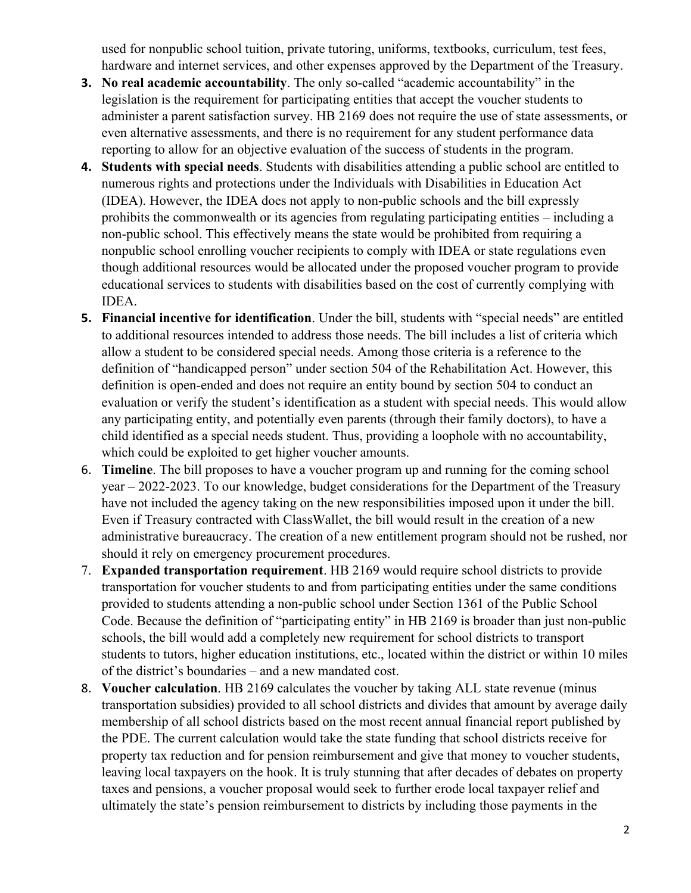used for nonpublic school tuition, private tutoring, uniforms, textbooks, curriculum, test fees, hardware and internet services, and other expenses approved by the Department of the Treasury.

- **3. No real academic accountability**. The only so-called "academic accountability" in the legislation is the requirement for participating entities that accept the voucher students to administer a parent satisfaction survey. HB 2169 does not require the use of state assessments, or even alternative assessments, and there is no requirement for any student performance data reporting to allow for an objective evaluation of the success of students in the program.
- **4. Students with special needs**. Students with disabilities attending a public school are entitled to numerous rights and protections under the Individuals with Disabilities in Education Act (IDEA). However, the IDEA does not apply to non-public schools and the bill expressly prohibits the commonwealth or its agencies from regulating participating entities – including a non-public school. This effectively means the state would be prohibited from requiring a nonpublic school enrolling voucher recipients to comply with IDEA or state regulations even though additional resources would be allocated under the proposed voucher program to provide educational services to students with disabilities based on the cost of currently complying with IDEA.
- **5. Financial incentive for identification**. Under the bill, students with "special needs" are entitled to additional resources intended to address those needs. The bill includes a list of criteria which allow a student to be considered special needs. Among those criteria is a reference to the definition of "handicapped person" under section 504 of the Rehabilitation Act. However, this definition is open-ended and does not require an entity bound by section 504 to conduct an evaluation or verify the student's identification as a student with special needs. This would allow any participating entity, and potentially even parents (through their family doctors), to have a child identified as a special needs student. Thus, providing a loophole with no accountability, which could be exploited to get higher voucher amounts.
- 6. **Timeline**. The bill proposes to have a voucher program up and running for the coming school year – 2022-2023. To our knowledge, budget considerations for the Department of the Treasury have not included the agency taking on the new responsibilities imposed upon it under the bill. Even if Treasury contracted with ClassWallet, the bill would result in the creation of a new administrative bureaucracy. The creation of a new entitlement program should not be rushed, nor should it rely on emergency procurement procedures.
- 7. **Expanded transportation requirement**. HB 2169 would require school districts to provide transportation for voucher students to and from participating entities under the same conditions provided to students attending a non-public school under Section 1361 of the Public School Code. Because the definition of "participating entity" in HB 2169 is broader than just non-public schools, the bill would add a completely new requirement for school districts to transport students to tutors, higher education institutions, etc., located within the district or within 10 miles of the district's boundaries – and a new mandated cost.
- 8. **Voucher calculation**. HB 2169 calculates the voucher by taking ALL state revenue (minus transportation subsidies) provided to all school districts and divides that amount by average daily membership of all school districts based on the most recent annual financial report published by the PDE. The current calculation would take the state funding that school districts receive for property tax reduction and for pension reimbursement and give that money to voucher students, leaving local taxpayers on the hook. It is truly stunning that after decades of debates on property taxes and pensions, a voucher proposal would seek to further erode local taxpayer relief and ultimately the state's pension reimbursement to districts by including those payments in the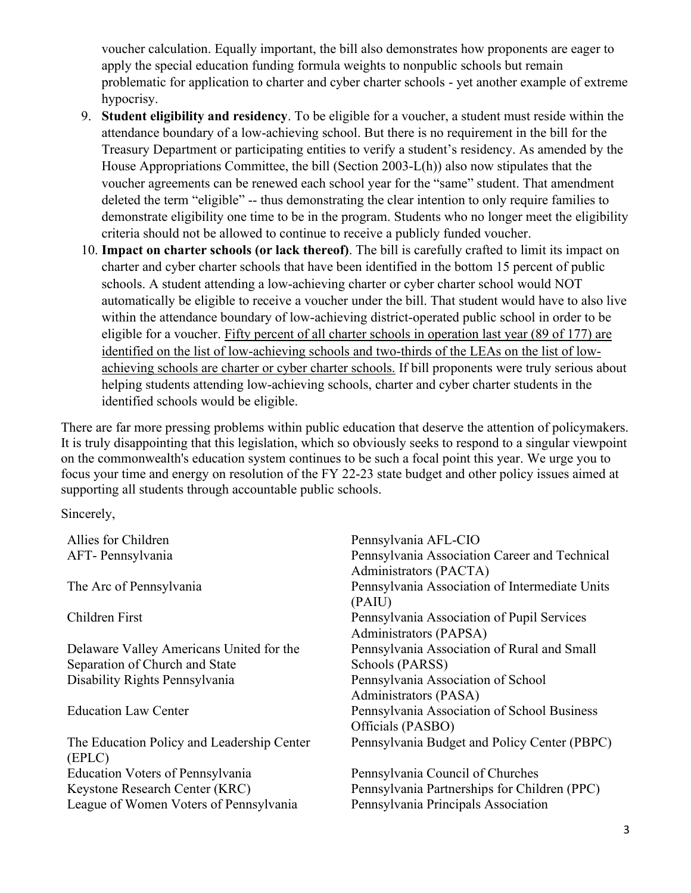voucher calculation. Equally important, the bill also demonstrates how proponents are eager to apply the special education funding formula weights to nonpublic schools but remain problematic for application to charter and cyber charter schools - yet another example of extreme hypocrisy.

- 9. **Student eligibility and residency**. To be eligible for a voucher, a student must reside within the attendance boundary of a low-achieving school. But there is no requirement in the bill for the Treasury Department or participating entities to verify a student's residency. As amended by the House Appropriations Committee, the bill (Section 2003-L(h)) also now stipulates that the voucher agreements can be renewed each school year for the "same" student. That amendment deleted the term "eligible" -- thus demonstrating the clear intention to only require families to demonstrate eligibility one time to be in the program. Students who no longer meet the eligibility criteria should not be allowed to continue to receive a publicly funded voucher.
- 10. **Impact on charter schools (or lack thereof)**. The bill is carefully crafted to limit its impact on charter and cyber charter schools that have been identified in the bottom 15 percent of public schools. A student attending a low-achieving charter or cyber charter school would NOT automatically be eligible to receive a voucher under the bill. That student would have to also live within the attendance boundary of low-achieving district-operated public school in order to be eligible for a voucher. Fifty percent of all charter schools in operation last year (89 of 177) are identified on the list of low-achieving schools and two-thirds of the LEAs on the list of lowachieving schools are charter or cyber charter schools. If bill proponents were truly serious about helping students attending low-achieving schools, charter and cyber charter students in the identified schools would be eligible.

There are far more pressing problems within public education that deserve the attention of policymakers. It is truly disappointing that this legislation, which so obviously seeks to respond to a singular viewpoint on the commonwealth's education system continues to be such a focal point this year. We urge you to focus your time and energy on resolution of the FY 22-23 state budget and other policy issues aimed at supporting all students through accountable public schools.

Sincerely,

| Allies for Children                                  | Pennsylvania AFL-CIO                                                    |  |  |
|------------------------------------------------------|-------------------------------------------------------------------------|--|--|
| AFT- Pennsylvania                                    | Pennsylvania Association Career and Technical<br>Administrators (PACTA) |  |  |
| The Arc of Pennsylvania                              | Pennsylvania Association of Intermediate Units<br>(PAIU)                |  |  |
| Children First                                       | Pennsylvania Association of Pupil Services<br>Administrators (PAPSA)    |  |  |
| Delaware Valley Americans United for the             | Pennsylvania Association of Rural and Small                             |  |  |
| Separation of Church and State                       | Schools (PARSS)                                                         |  |  |
| Disability Rights Pennsylvania                       | Pennsylvania Association of School<br>Administrators (PASA)             |  |  |
| <b>Education Law Center</b>                          | Pennsylvania Association of School Business<br>Officials (PASBO)        |  |  |
| The Education Policy and Leadership Center<br>(EPLC) | Pennsylvania Budget and Policy Center (PBPC)                            |  |  |
| <b>Education Voters of Pennsylvania</b>              | Pennsylvania Council of Churches                                        |  |  |
| Keystone Research Center (KRC)                       | Pennsylvania Partnerships for Children (PPC)                            |  |  |
| League of Women Voters of Pennsylvania               | Pennsylvania Principals Association                                     |  |  |